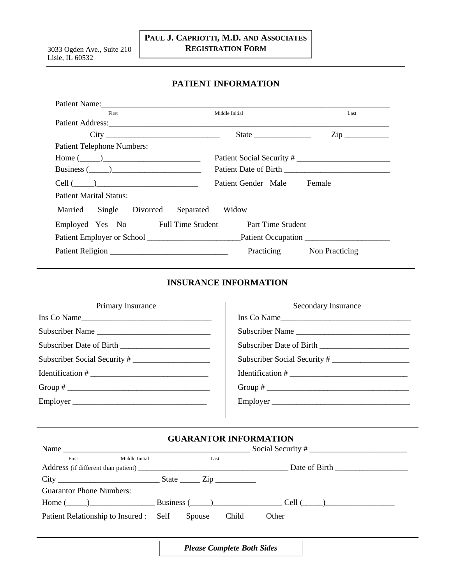## **PATIENT INFORMATION**

| Patient Name:                                       |                              |                     |  |
|-----------------------------------------------------|------------------------------|---------------------|--|
| First                                               | Middle Initial               | Last                |  |
| Patient Address:                                    |                              |                     |  |
|                                                     |                              | $\mathsf{Zip} \_\_$ |  |
| <b>Patient Telephone Numbers:</b>                   |                              |                     |  |
| $Home ( \_ )$                                       | Patient Social Security #    |                     |  |
| Business $(\_\_)$                                   |                              |                     |  |
| Patient Gender Male Female<br>$Cell (\_\_)$         |                              |                     |  |
| <b>Patient Marital Status:</b>                      |                              |                     |  |
| Married<br>Single Divorced                          | Separated Widow              |                     |  |
| Employed Yes No Full Time Student Part Time Student |                              |                     |  |
| Patient Employer or School Patient Occupation       |                              |                     |  |
|                                                     | Practicing<br>Non Practicing |                     |  |

## **INSURANCE INFORMATION**

| Primary Insurance            | Secondary Insurance          |
|------------------------------|------------------------------|
| Ins Co Name                  | Ins Co Name                  |
| Subscriber Name              | Subscriber Name              |
|                              |                              |
| Subscriber Social Security # | Subscriber Social Security # |
|                              |                              |
|                              |                              |
| Employer                     | Employer                     |
|                              |                              |

# **GUARANTOR INFORMATION**

| Name                                          |                |      |       |                                              |  |
|-----------------------------------------------|----------------|------|-------|----------------------------------------------|--|
| First                                         | Middle Initial | Last |       |                                              |  |
|                                               |                |      |       |                                              |  |
|                                               |                |      |       |                                              |  |
| <b>Guarantor Phone Numbers:</b>               |                |      |       |                                              |  |
|                                               |                |      |       | $\frac{1}{2}$ Home ( ) Business ( ) Cell ( ) |  |
| Patient Relationship to Insured : Self Spouse |                |      | Child | Other                                        |  |

*Please Complete Both Sides*